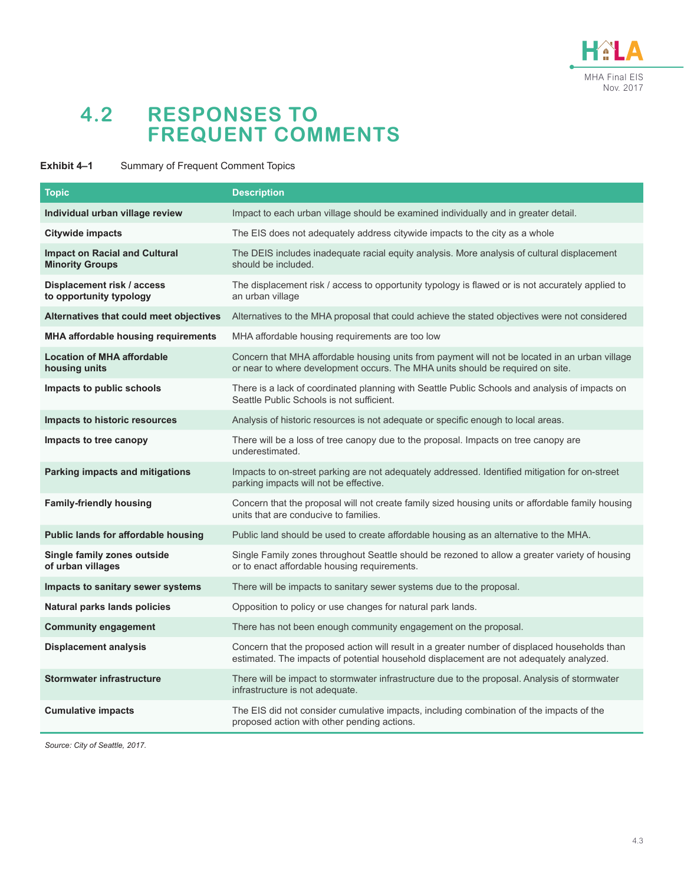

# **4.2 RESPONSES TO FREQUENT COMMENTS**

#### **Exhibit 4–1** Summary of Frequent Comment Topics

| <b>Topic</b>                                                   | <b>Description</b>                                                                                                                                                                       |
|----------------------------------------------------------------|------------------------------------------------------------------------------------------------------------------------------------------------------------------------------------------|
| Individual urban village review                                | Impact to each urban village should be examined individually and in greater detail.                                                                                                      |
| <b>Citywide impacts</b>                                        | The EIS does not adequately address citywide impacts to the city as a whole                                                                                                              |
| <b>Impact on Racial and Cultural</b><br><b>Minority Groups</b> | The DEIS includes inadequate racial equity analysis. More analysis of cultural displacement<br>should be included.                                                                       |
| Displacement risk / access<br>to opportunity typology          | The displacement risk / access to opportunity typology is flawed or is not accurately applied to<br>an urban village                                                                     |
| Alternatives that could meet objectives                        | Alternatives to the MHA proposal that could achieve the stated objectives were not considered                                                                                            |
| <b>MHA affordable housing requirements</b>                     | MHA affordable housing requirements are too low                                                                                                                                          |
| <b>Location of MHA affordable</b><br>housing units             | Concern that MHA affordable housing units from payment will not be located in an urban village<br>or near to where development occurs. The MHA units should be required on site.         |
| Impacts to public schools                                      | There is a lack of coordinated planning with Seattle Public Schools and analysis of impacts on<br>Seattle Public Schools is not sufficient.                                              |
| <b>Impacts to historic resources</b>                           | Analysis of historic resources is not adequate or specific enough to local areas.                                                                                                        |
| Impacts to tree canopy                                         | There will be a loss of tree canopy due to the proposal. Impacts on tree canopy are<br>underestimated.                                                                                   |
| Parking impacts and mitigations                                | Impacts to on-street parking are not adequately addressed. Identified mitigation for on-street<br>parking impacts will not be effective.                                                 |
| <b>Family-friendly housing</b>                                 | Concern that the proposal will not create family sized housing units or affordable family housing<br>units that are conducive to families.                                               |
| Public lands for affordable housing                            | Public land should be used to create affordable housing as an alternative to the MHA.                                                                                                    |
| Single family zones outside<br>of urban villages               | Single Family zones throughout Seattle should be rezoned to allow a greater variety of housing<br>or to enact affordable housing requirements.                                           |
| Impacts to sanitary sewer systems                              | There will be impacts to sanitary sewer systems due to the proposal.                                                                                                                     |
| Natural parks lands policies                                   | Opposition to policy or use changes for natural park lands.                                                                                                                              |
| <b>Community engagement</b>                                    | There has not been enough community engagement on the proposal.                                                                                                                          |
| <b>Displacement analysis</b>                                   | Concern that the proposed action will result in a greater number of displaced households than<br>estimated. The impacts of potential household displacement are not adequately analyzed. |
| <b>Stormwater infrastructure</b>                               | There will be impact to stormwater infrastructure due to the proposal. Analysis of stormwater<br>infrastructure is not adequate.                                                         |
| <b>Cumulative impacts</b>                                      | The EIS did not consider cumulative impacts, including combination of the impacts of the<br>proposed action with other pending actions.                                                  |

*Source: City of Seattle, 2017.*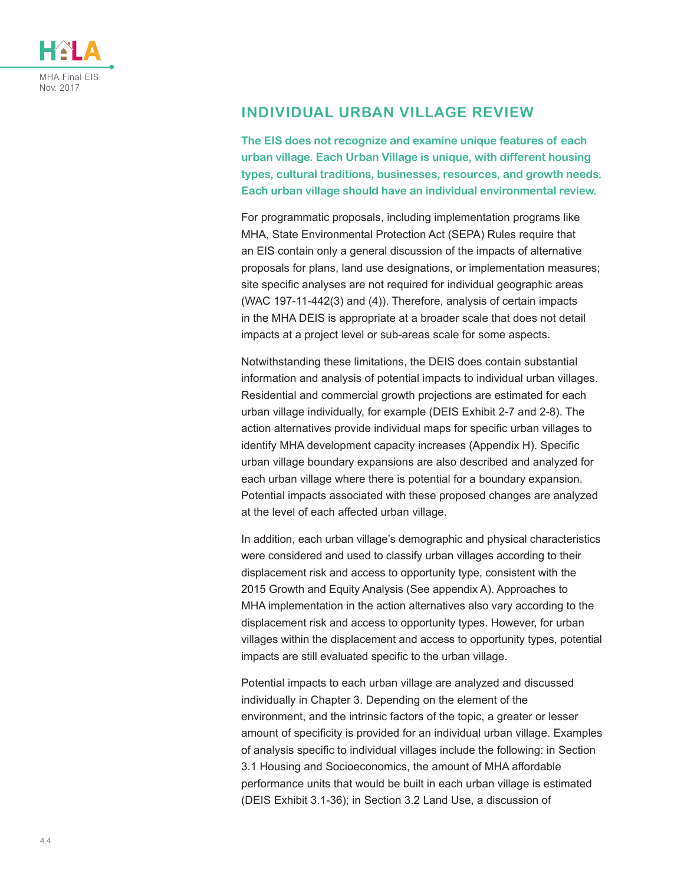

# **INDIVIDUAL URBAN VILLAGE REVIEW**

**The EIS does not recognize and examine unique features of each urban village. Each Urban Village is unique, with different housing types, cultural traditions, businesses, resources, and growth needs. Each urban village should have an individual environmental review.**

For programmatic proposals, including implementation programs like MHA, State Environmental Protection Act (SEPA) Rules require that an EIS contain only a general discussion of the impacts of alternative proposals for plans, land use designations, or implementation measures; site specific analyses are not required for individual geographic areas (WAC 197-11-442(3) and (4)). Therefore, analysis of certain impacts in the MHA DEIS is appropriate at a broader scale that does not detail impacts at a project level or sub-areas scale for some aspects.

Notwithstanding these limitations, the DEIS does contain substantial information and analysis of potential impacts to individual urban villages. Residential and commercial growth projections are estimated for each urban village individually, for example (DEIS Exhibit 2-7 and 2-8). The action alternatives provide individual maps for specific urban villages to identify MHA development capacity increases (Appendix H). Specific urban village boundary expansions are also described and analyzed for each urban village where there is potential for a boundary expansion. Potential impacts associated with these proposed changes are analyzed at the level of each affected urban village.

In addition, each urban village's demographic and physical characteristics were considered and used to classify urban villages according to their displacement risk and access to opportunity type, consistent with the 2015 Growth and Equity Analysis (See appendix A). Approaches to MHA implementation in the action alternatives also vary according to the displacement risk and access to opportunity types. However, for urban villages within the displacement and access to opportunity types, potential impacts are still evaluated specific to the urban village.

Potential impacts to each urban village are analyzed and discussed individually in Chapter 3. Depending on the element of the environment, and the intrinsic factors of the topic, a greater or lesser amount of specificity is provided for an individual urban village. Examples of analysis specific to individual villages include the following: in Section 3.1 Housing and Socioeconomics, the amount of MHA affordable performance units that would be built in each urban village is estimated (DEIS Exhibit 3.1-36); in Section 3.2 Land Use, a discussion of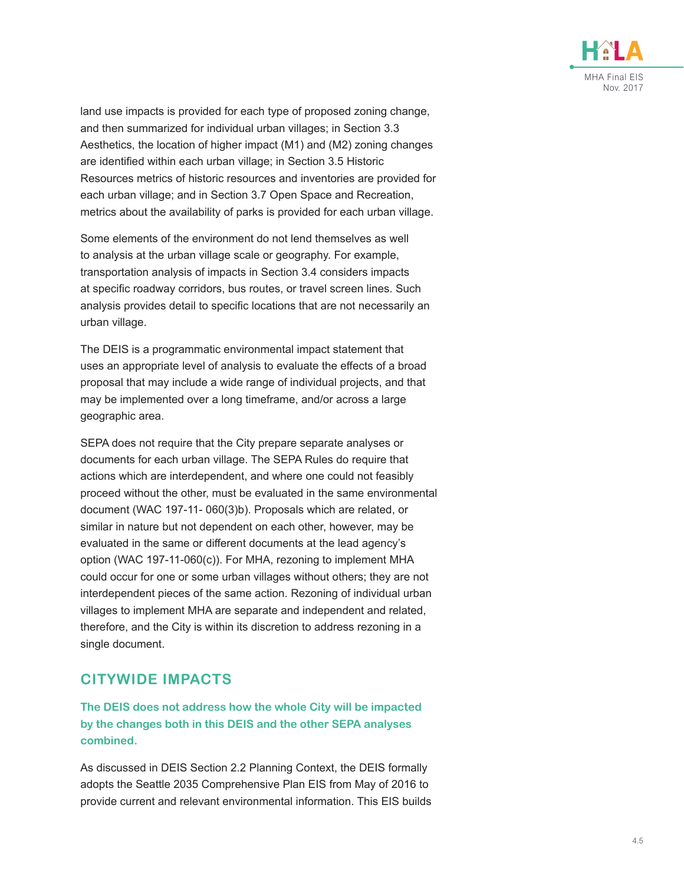

land use impacts is provided for each type of proposed zoning change, and then summarized for individual urban villages; in Section 3.3 Aesthetics, the location of higher impact (M1) and (M2) zoning changes are identified within each urban village; in Section 3.5 Historic Resources metrics of historic resources and inventories are provided for each urban village; and in Section 3.7 Open Space and Recreation, metrics about the availability of parks is provided for each urban village.

Some elements of the environment do not lend themselves as well to analysis at the urban village scale or geography. For example, transportation analysis of impacts in Section 3.4 considers impacts at specific roadway corridors, bus routes, or travel screen lines. Such analysis provides detail to specific locations that are not necessarily an urban village.

The DEIS is a programmatic environmental impact statement that uses an appropriate level of analysis to evaluate the effects of a broad proposal that may include a wide range of individual projects, and that may be implemented over a long timeframe, and/or across a large geographic area.

SEPA does not require that the City prepare separate analyses or documents for each urban village. The SEPA Rules do require that actions which are interdependent, and where one could not feasibly proceed without the other, must be evaluated in the same environmental document (WAC 197-11- 060(3)b). Proposals which are related, or similar in nature but not dependent on each other, however, may be evaluated in the same or different documents at the lead agency's option (WAC 197-11-060(c)). For MHA, rezoning to implement MHA could occur for one or some urban villages without others; they are not interdependent pieces of the same action. Rezoning of individual urban villages to implement MHA are separate and independent and related, therefore, and the City is within its discretion to address rezoning in a single document.

#### **CITYWIDE IMPACTS**

**The DEIS does not address how the whole City will be impacted by the changes both in this DEIS and the other SEPA analyses combined.**

As discussed in DEIS Section 2.2 Planning Context, the DEIS formally adopts the Seattle 2035 Comprehensive Plan EIS from May of 2016 to provide current and relevant environmental information. This EIS builds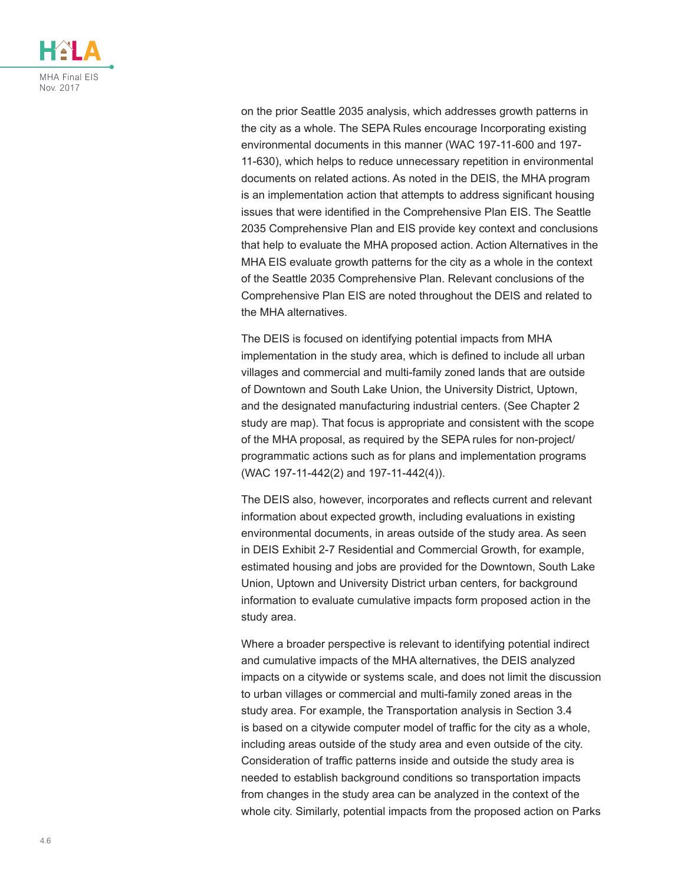

on the prior Seattle 2035 analysis, which addresses growth patterns in the city as a whole. The SEPA Rules encourage Incorporating existing environmental documents in this manner (WAC 197-11-600 and 197- 11-630), which helps to reduce unnecessary repetition in environmental documents on related actions. As noted in the DEIS, the MHA program is an implementation action that attempts to address significant housing issues that were identified in the Comprehensive Plan EIS. The Seattle 2035 Comprehensive Plan and EIS provide key context and conclusions that help to evaluate the MHA proposed action. Action Alternatives in the MHA EIS evaluate growth patterns for the city as a whole in the context of the Seattle 2035 Comprehensive Plan. Relevant conclusions of the Comprehensive Plan EIS are noted throughout the DEIS and related to the MHA alternatives.

The DEIS is focused on identifying potential impacts from MHA implementation in the study area, which is defined to include all urban villages and commercial and multi-family zoned lands that are outside of Downtown and South Lake Union, the University District, Uptown, and the designated manufacturing industrial centers. (See Chapter 2 study are map). That focus is appropriate and consistent with the scope of the MHA proposal, as required by the SEPA rules for non-project/ programmatic actions such as for plans and implementation programs (WAC 197-11-442(2) and 197-11-442(4)).

The DEIS also, however, incorporates and reflects current and relevant information about expected growth, including evaluations in existing environmental documents, in areas outside of the study area. As seen in DEIS Exhibit 2-7 Residential and Commercial Growth, for example, estimated housing and jobs are provided for the Downtown, South Lake Union, Uptown and University District urban centers, for background information to evaluate cumulative impacts form proposed action in the study area.

Where a broader perspective is relevant to identifying potential indirect and cumulative impacts of the MHA alternatives, the DEIS analyzed impacts on a citywide or systems scale, and does not limit the discussion to urban villages or commercial and multi-family zoned areas in the study area. For example, the Transportation analysis in Section 3.4 is based on a citywide computer model of traffic for the city as a whole, including areas outside of the study area and even outside of the city. Consideration of traffic patterns inside and outside the study area is needed to establish background conditions so transportation impacts from changes in the study area can be analyzed in the context of the whole city. Similarly, potential impacts from the proposed action on Parks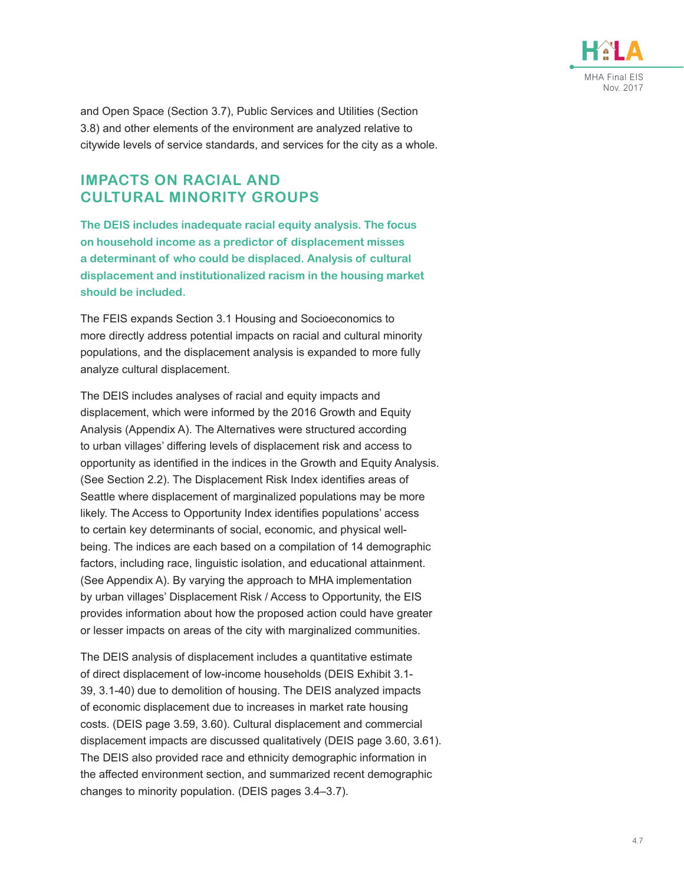

and Open Space (Section 3.7), Public Services and Utilities (Section 3.8) and other elements of the environment are analyzed relative to citywide levels of service standards, and services for the city as a whole.

#### **IMPACTS ON RACIAL AND CULTURAL MINORITY GROUPS**

**The DEIS includes inadequate racial equity analysis. The focus on household income as a predictor of displacement misses a determinant of who could be displaced. Analysis of cultural displacement and institutionalized racism in the housing market should be included.**

The FEIS expands Section 3.1 Housing and Socioeconomics to more directly address potential impacts on racial and cultural minority populations, and the displacement analysis is expanded to more fully analyze cultural displacement.

The DEIS includes analyses of racial and equity impacts and displacement, which were informed by the 2016 Growth and Equity Analysis (Appendix A). The Alternatives were structured according to urban villages' differing levels of displacement risk and access to opportunity as identified in the indices in the Growth and Equity Analysis. (See Section 2.2). The Displacement Risk Index identifies areas of Seattle where displacement of marginalized populations may be more likely. The Access to Opportunity Index identifies populations' access to certain key determinants of social, economic, and physical wellbeing. The indices are each based on a compilation of 14 demographic factors, including race, linguistic isolation, and educational attainment. (See Appendix A). By varying the approach to MHA implementation by urban villages' Displacement Risk / Access to Opportunity, the EIS provides information about how the proposed action could have greater or lesser impacts on areas of the city with marginalized communities.

The DEIS analysis of displacement includes a quantitative estimate of direct displacement of low-income households (DEIS Exhibit 3.1- 39, 3.1-40) due to demolition of housing. The DEIS analyzed impacts of economic displacement due to increases in market rate housing costs. (DEIS page 3.59, 3.60). Cultural displacement and commercial displacement impacts are discussed qualitatively (DEIS page 3.60, 3.61). The DEIS also provided race and ethnicity demographic information in the affected environment section, and summarized recent demographic changes to minority population. (DEIS pages 3.4–3.7).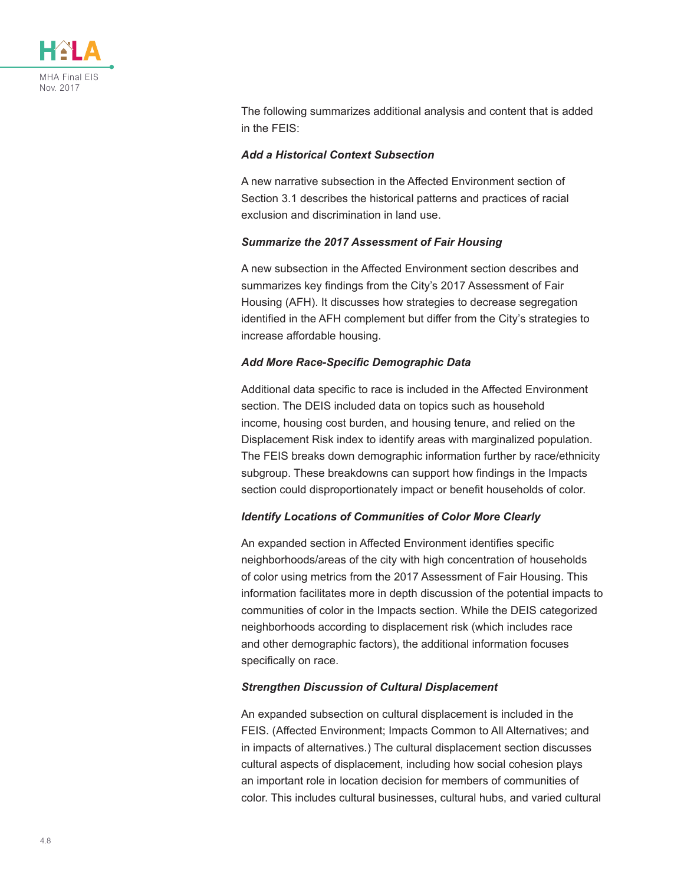

The following summarizes additional analysis and content that is added in the FEIS:

#### *Add a Historical Context Subsection*

A new narrative subsection in the Affected Environment section of Section 3.1 describes the historical patterns and practices of racial exclusion and discrimination in land use.

#### *Summarize the 2017 Assessment of Fair Housing*

A new subsection in the Affected Environment section describes and summarizes key findings from the City's 2017 Assessment of Fair Housing (AFH). It discusses how strategies to decrease segregation identified in the AFH complement but differ from the City's strategies to increase affordable housing.

#### *Add More Race-Specific Demographic Data*

Additional data specific to race is included in the Affected Environment section. The DEIS included data on topics such as household income, housing cost burden, and housing tenure, and relied on the Displacement Risk index to identify areas with marginalized population. The FEIS breaks down demographic information further by race/ethnicity subgroup. These breakdowns can support how findings in the Impacts section could disproportionately impact or benefit households of color.

#### *Identify Locations of Communities of Color More Clearly*

An expanded section in Affected Environment identifies specific neighborhoods/areas of the city with high concentration of households of color using metrics from the 2017 Assessment of Fair Housing. This information facilitates more in depth discussion of the potential impacts to communities of color in the Impacts section. While the DEIS categorized neighborhoods according to displacement risk (which includes race and other demographic factors), the additional information focuses specifically on race.

#### *Strengthen Discussion of Cultural Displacement*

An expanded subsection on cultural displacement is included in the FEIS. (Affected Environment; Impacts Common to All Alternatives; and in impacts of alternatives.) The cultural displacement section discusses cultural aspects of displacement, including how social cohesion plays an important role in location decision for members of communities of color. This includes cultural businesses, cultural hubs, and varied cultural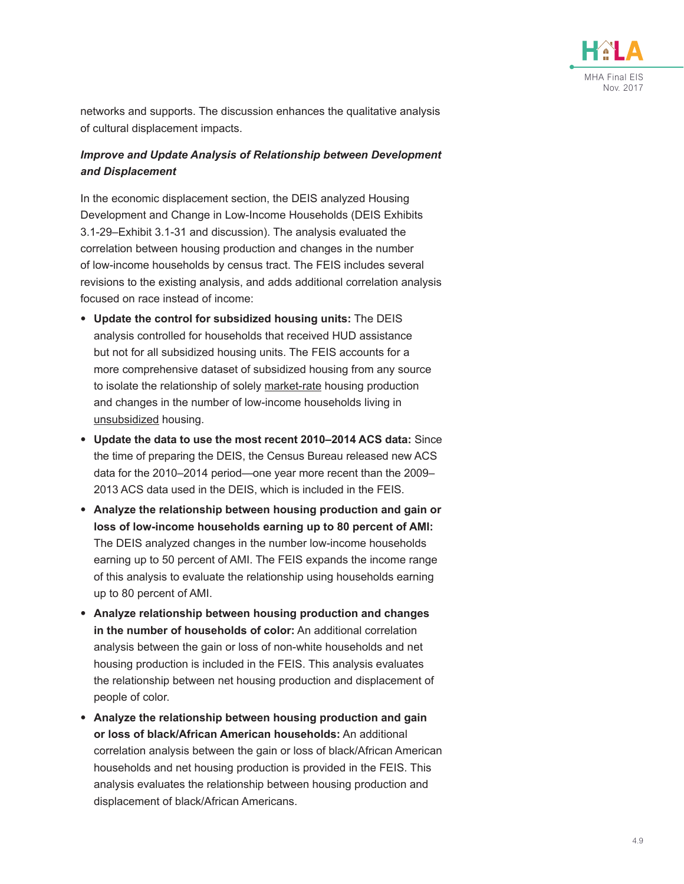

networks and supports. The discussion enhances the qualitative analysis of cultural displacement impacts.

#### *Improve and Update Analysis of Relationship between Development and Displacement*

In the economic displacement section, the DEIS analyzed Housing Development and Change in Low-Income Households (DEIS Exhibits 3.1-29–Exhibit 3.1-31 and discussion). The analysis evaluated the correlation between housing production and changes in the number of low-income households by census tract. The FEIS includes several revisions to the existing analysis, and adds additional correlation analysis focused on race instead of income:

- **Update the control for subsidized housing units:** The DEIS analysis controlled for households that received HUD assistance but not for all subsidized housing units. The FEIS accounts for a more comprehensive dataset of subsidized housing from any source to isolate the relationship of solely market-rate housing production and changes in the number of low-income households living in unsubsidized housing.
- **Update the data to use the most recent 2010–2014 ACS data:** Since the time of preparing the DEIS, the Census Bureau released new ACS data for the 2010–2014 period—one year more recent than the 2009– 2013 ACS data used in the DEIS, which is included in the FEIS.
- **Analyze the relationship between housing production and gain or loss of low-income households earning up to 80 percent of AMI:** The DEIS analyzed changes in the number low-income households earning up to 50 percent of AMI. The FEIS expands the income range of this analysis to evaluate the relationship using households earning up to 80 percent of AMI.
- **Analyze relationship between housing production and changes in the number of households of color:** An additional correlation analysis between the gain or loss of non-white households and net housing production is included in the FEIS. This analysis evaluates the relationship between net housing production and displacement of people of color.
- **Analyze the relationship between housing production and gain or loss of black/African American households:** An additional correlation analysis between the gain or loss of black/African American households and net housing production is provided in the FEIS. This analysis evaluates the relationship between housing production and displacement of black/African Americans.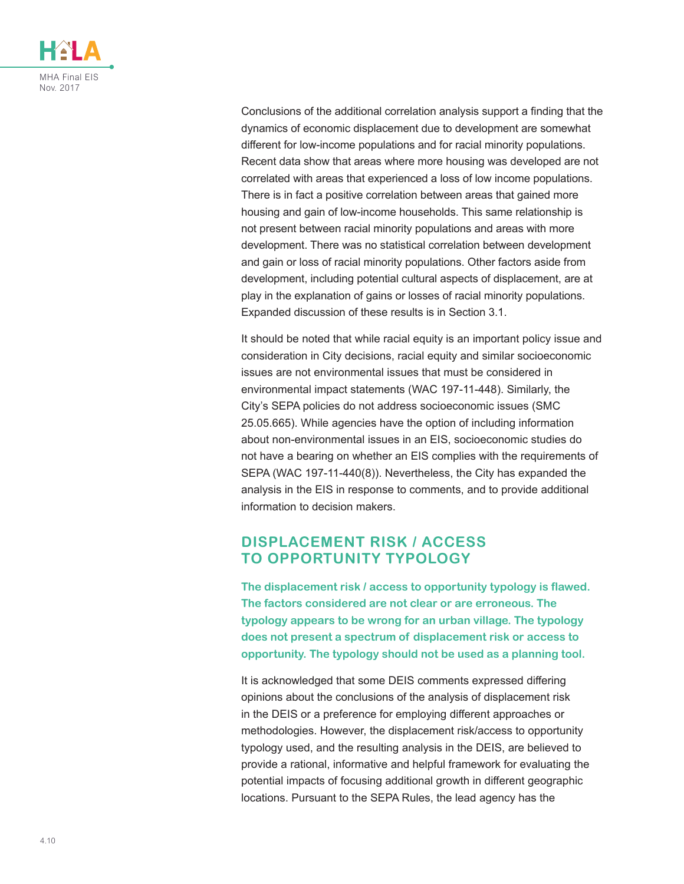

Conclusions of the additional correlation analysis support a finding that the dynamics of economic displacement due to development are somewhat different for low-income populations and for racial minority populations. Recent data show that areas where more housing was developed are not correlated with areas that experienced a loss of low income populations. There is in fact a positive correlation between areas that gained more housing and gain of low-income households. This same relationship is not present between racial minority populations and areas with more development. There was no statistical correlation between development and gain or loss of racial minority populations. Other factors aside from development, including potential cultural aspects of displacement, are at play in the explanation of gains or losses of racial minority populations. Expanded discussion of these results is in Section 3.1.

It should be noted that while racial equity is an important policy issue and consideration in City decisions, racial equity and similar socioeconomic issues are not environmental issues that must be considered in environmental impact statements (WAC 197-11-448). Similarly, the City's SEPA policies do not address socioeconomic issues (SMC 25.05.665). While agencies have the option of including information about non-environmental issues in an EIS, socioeconomic studies do not have a bearing on whether an EIS complies with the requirements of SEPA (WAC 197-11-440(8)). Nevertheless, the City has expanded the analysis in the EIS in response to comments, and to provide additional information to decision makers.

### **DISPLACEMENT RISK / ACCESS TO OPPORTUNITY TYPOLOGY**

**The displacement risk / access to opportunity typology is flawed. The factors considered are not clear or are erroneous. The typology appears to be wrong for an urban village. The typology does not present a spectrum of displacement risk or access to opportunity. The typology should not be used as a planning tool.**

It is acknowledged that some DEIS comments expressed differing opinions about the conclusions of the analysis of displacement risk in the DEIS or a preference for employing different approaches or methodologies. However, the displacement risk/access to opportunity typology used, and the resulting analysis in the DEIS, are believed to provide a rational, informative and helpful framework for evaluating the potential impacts of focusing additional growth in different geographic locations. Pursuant to the SEPA Rules, the lead agency has the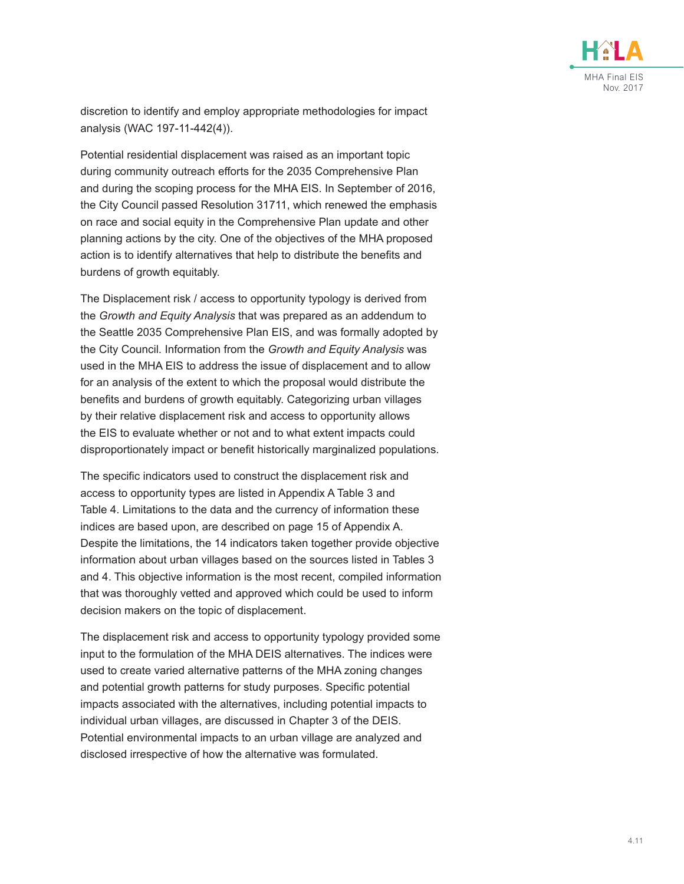

discretion to identify and employ appropriate methodologies for impact analysis (WAC 197-11-442(4)).

Potential residential displacement was raised as an important topic during community outreach efforts for the 2035 Comprehensive Plan and during the scoping process for the MHA EIS. In September of 2016, the City Council passed Resolution 31711, which renewed the emphasis on race and social equity in the Comprehensive Plan update and other planning actions by the city. One of the objectives of the MHA proposed action is to identify alternatives that help to distribute the benefits and burdens of growth equitably.

The Displacement risk / access to opportunity typology is derived from the *Growth and Equity Analysis* that was prepared as an addendum to the Seattle 2035 Comprehensive Plan EIS, and was formally adopted by the City Council. Information from the *Growth and Equity Analysis* was used in the MHA EIS to address the issue of displacement and to allow for an analysis of the extent to which the proposal would distribute the benefits and burdens of growth equitably. Categorizing urban villages by their relative displacement risk and access to opportunity allows the EIS to evaluate whether or not and to what extent impacts could disproportionately impact or benefit historically marginalized populations.

The specific indicators used to construct the displacement risk and access to opportunity types are listed in Appendix A Table 3 and Table 4. Limitations to the data and the currency of information these indices are based upon, are described on page 15 of Appendix A. Despite the limitations, the 14 indicators taken together provide objective information about urban villages based on the sources listed in Tables 3 and 4. This objective information is the most recent, compiled information that was thoroughly vetted and approved which could be used to inform decision makers on the topic of displacement.

The displacement risk and access to opportunity typology provided some input to the formulation of the MHA DEIS alternatives. The indices were used to create varied alternative patterns of the MHA zoning changes and potential growth patterns for study purposes. Specific potential impacts associated with the alternatives, including potential impacts to individual urban villages, are discussed in Chapter 3 of the DEIS. Potential environmental impacts to an urban village are analyzed and disclosed irrespective of how the alternative was formulated.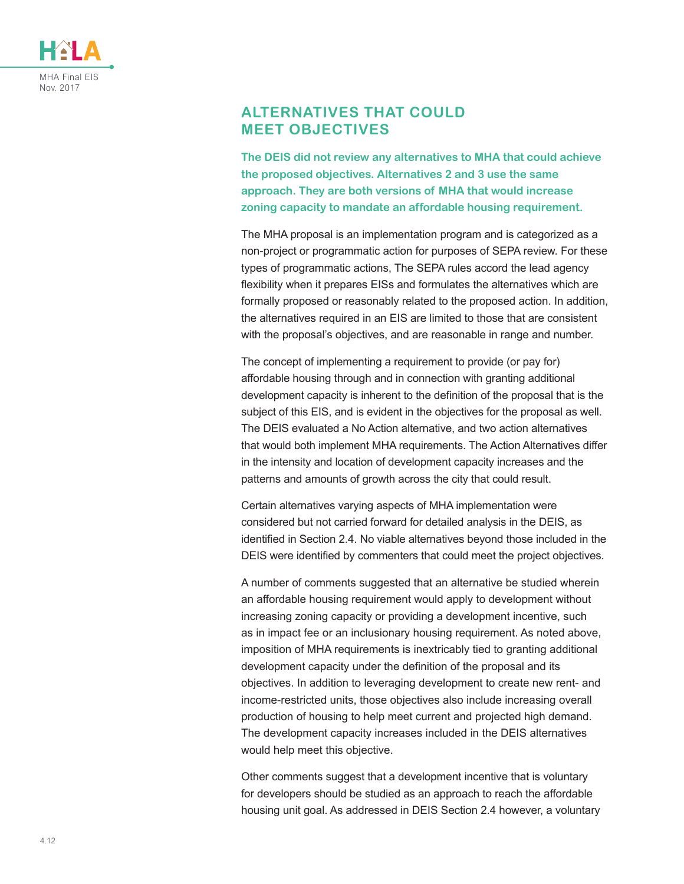

# **ALTERNATIVES THAT COULD MEET OBJECTIVES**

**The DEIS did not review any alternatives to MHA that could achieve the proposed objectives. Alternatives 2 and 3 use the same approach. They are both versions of MHA that would increase zoning capacity to mandate an affordable housing requirement.**

The MHA proposal is an implementation program and is categorized as a non-project or programmatic action for purposes of SEPA review. For these types of programmatic actions, The SEPA rules accord the lead agency flexibility when it prepares EISs and formulates the alternatives which are formally proposed or reasonably related to the proposed action. In addition, the alternatives required in an EIS are limited to those that are consistent with the proposal's objectives, and are reasonable in range and number.

The concept of implementing a requirement to provide (or pay for) affordable housing through and in connection with granting additional development capacity is inherent to the definition of the proposal that is the subject of this EIS, and is evident in the objectives for the proposal as well. The DEIS evaluated a No Action alternative, and two action alternatives that would both implement MHA requirements. The Action Alternatives differ in the intensity and location of development capacity increases and the patterns and amounts of growth across the city that could result.

Certain alternatives varying aspects of MHA implementation were considered but not carried forward for detailed analysis in the DEIS, as identified in Section 2.4. No viable alternatives beyond those included in the DEIS were identified by commenters that could meet the project objectives.

A number of comments suggested that an alternative be studied wherein an affordable housing requirement would apply to development without increasing zoning capacity or providing a development incentive, such as in impact fee or an inclusionary housing requirement. As noted above, imposition of MHA requirements is inextricably tied to granting additional development capacity under the definition of the proposal and its objectives. In addition to leveraging development to create new rent- and income-restricted units, those objectives also include increasing overall production of housing to help meet current and projected high demand. The development capacity increases included in the DEIS alternatives would help meet this objective.

Other comments suggest that a development incentive that is voluntary for developers should be studied as an approach to reach the affordable housing unit goal. As addressed in DEIS Section 2.4 however, a voluntary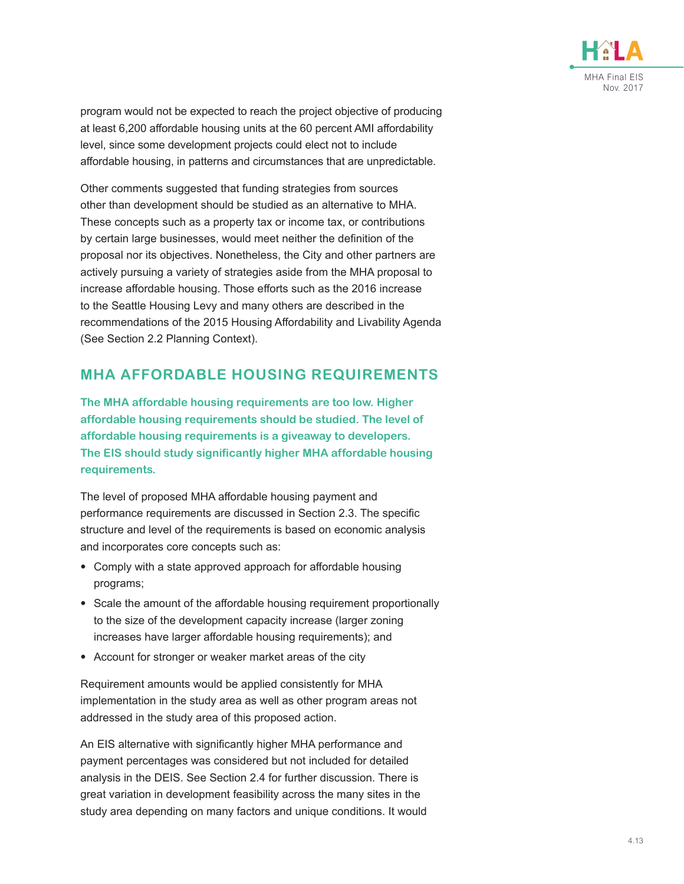

program would not be expected to reach the project objective of producing at least 6,200 affordable housing units at the 60 percent AMI affordability level, since some development projects could elect not to include affordable housing, in patterns and circumstances that are unpredictable.

Other comments suggested that funding strategies from sources other than development should be studied as an alternative to MHA. These concepts such as a property tax or income tax, or contributions by certain large businesses, would meet neither the definition of the proposal nor its objectives. Nonetheless, the City and other partners are actively pursuing a variety of strategies aside from the MHA proposal to increase affordable housing. Those efforts such as the 2016 increase to the Seattle Housing Levy and many others are described in the recommendations of the 2015 Housing Affordability and Livability Agenda (See Section 2.2 Planning Context).

# **MHA AFFORDABLE HOUSING REQUIREMENTS**

**The MHA affordable housing requirements are too low. Higher affordable housing requirements should be studied. The level of affordable housing requirements is a giveaway to developers. The EIS should study significantly higher MHA affordable housing requirements.**

The level of proposed MHA affordable housing payment and performance requirements are discussed in Section 2.3. The specific structure and level of the requirements is based on economic analysis and incorporates core concepts such as:

- Comply with a state approved approach for affordable housing programs;
- Scale the amount of the affordable housing requirement proportionally to the size of the development capacity increase (larger zoning increases have larger affordable housing requirements); and
- Account for stronger or weaker market areas of the city

Requirement amounts would be applied consistently for MHA implementation in the study area as well as other program areas not addressed in the study area of this proposed action.

An EIS alternative with significantly higher MHA performance and payment percentages was considered but not included for detailed analysis in the DEIS. See Section 2.4 for further discussion. There is great variation in development feasibility across the many sites in the study area depending on many factors and unique conditions. It would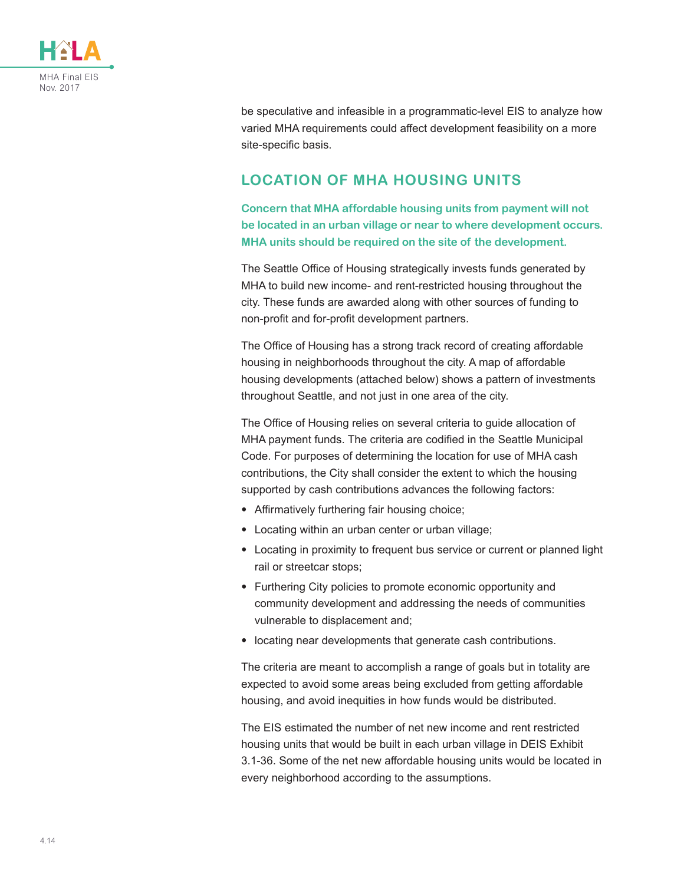

be speculative and infeasible in a programmatic-level EIS to analyze how varied MHA requirements could affect development feasibility on a more site-specific basis.

# **LOCATION OF MHA HOUSING UNITS**

**Concern that MHA affordable housing units from payment will not be located in an urban village or near to where development occurs. MHA units should be required on the site of the development.**

The Seattle Office of Housing strategically invests funds generated by MHA to build new income- and rent-restricted housing throughout the city. These funds are awarded along with other sources of funding to non-profit and for-profit development partners.

The Office of Housing has a strong track record of creating affordable housing in neighborhoods throughout the city. A map of affordable housing developments (attached below) shows a pattern of investments throughout Seattle, and not just in one area of the city.

The Office of Housing relies on several criteria to guide allocation of MHA payment funds. The criteria are codified in the Seattle Municipal Code. For purposes of determining the location for use of MHA cash contributions, the City shall consider the extent to which the housing supported by cash contributions advances the following factors:

- Affirmatively furthering fair housing choice;
- Locating within an urban center or urban village;
- Locating in proximity to frequent bus service or current or planned light rail or streetcar stops;
- Furthering City policies to promote economic opportunity and community development and addressing the needs of communities vulnerable to displacement and;
- locating near developments that generate cash contributions.

The criteria are meant to accomplish a range of goals but in totality are expected to avoid some areas being excluded from getting affordable housing, and avoid inequities in how funds would be distributed.

The EIS estimated the number of net new income and rent restricted housing units that would be built in each urban village in DEIS Exhibit 3.1-36. Some of the net new affordable housing units would be located in every neighborhood according to the assumptions.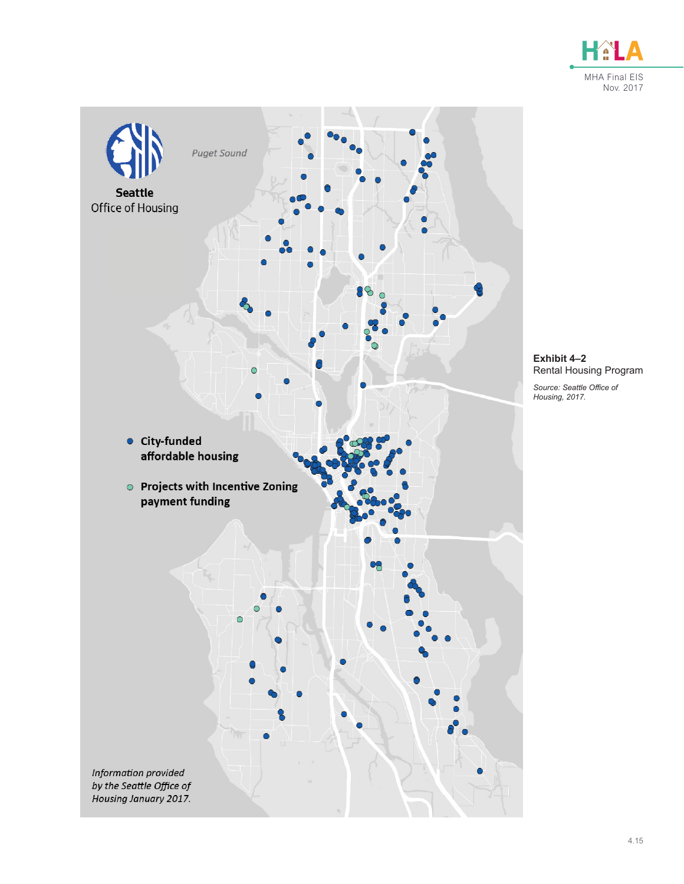



**Exhibit 4–2** Rental Housing Program

*Source: Seattle Office of Housing, 2017.*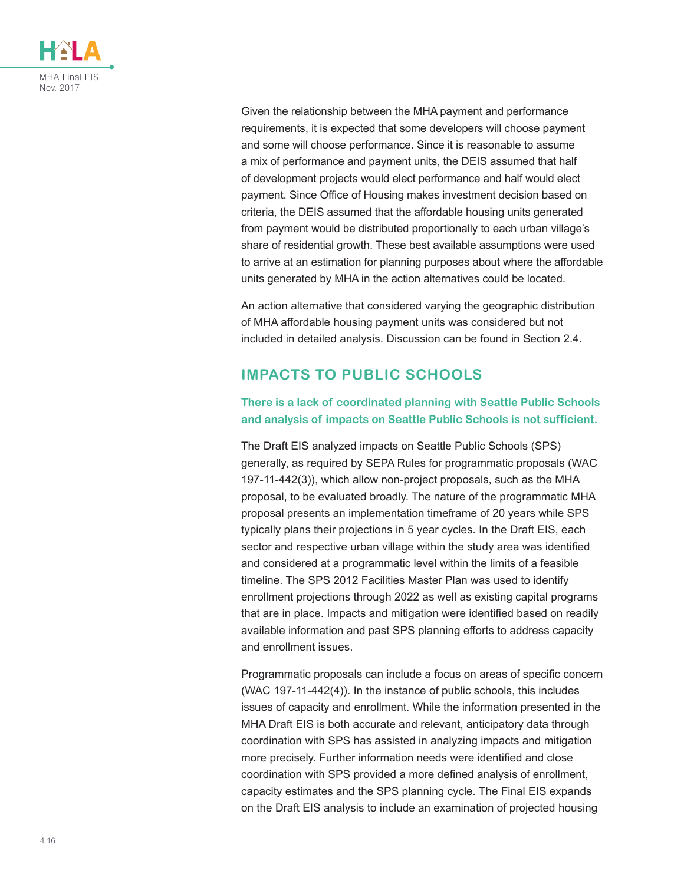

Given the relationship between the MHA payment and performance requirements, it is expected that some developers will choose payment and some will choose performance. Since it is reasonable to assume a mix of performance and payment units, the DEIS assumed that half of development projects would elect performance and half would elect payment. Since Office of Housing makes investment decision based on criteria, the DEIS assumed that the affordable housing units generated from payment would be distributed proportionally to each urban village's share of residential growth. These best available assumptions were used to arrive at an estimation for planning purposes about where the affordable units generated by MHA in the action alternatives could be located.

An action alternative that considered varying the geographic distribution of MHA affordable housing payment units was considered but not included in detailed analysis. Discussion can be found in Section 2.4.

# **IMPACTS TO PUBLIC SCHOOLS**

#### **There is a lack of coordinated planning with Seattle Public Schools and analysis of impacts on Seattle Public Schools is not sufficient.**

The Draft EIS analyzed impacts on Seattle Public Schools (SPS) generally, as required by SEPA Rules for programmatic proposals (WAC 197-11-442(3)), which allow non-project proposals, such as the MHA proposal, to be evaluated broadly. The nature of the programmatic MHA proposal presents an implementation timeframe of 20 years while SPS typically plans their projections in 5 year cycles. In the Draft EIS, each sector and respective urban village within the study area was identified and considered at a programmatic level within the limits of a feasible timeline. The SPS 2012 Facilities Master Plan was used to identify enrollment projections through 2022 as well as existing capital programs that are in place. Impacts and mitigation were identified based on readily available information and past SPS planning efforts to address capacity and enrollment issues.

Programmatic proposals can include a focus on areas of specific concern (WAC 197-11-442(4)). In the instance of public schools, this includes issues of capacity and enrollment. While the information presented in the MHA Draft EIS is both accurate and relevant, anticipatory data through coordination with SPS has assisted in analyzing impacts and mitigation more precisely. Further information needs were identified and close coordination with SPS provided a more defined analysis of enrollment, capacity estimates and the SPS planning cycle. The Final EIS expands on the Draft EIS analysis to include an examination of projected housing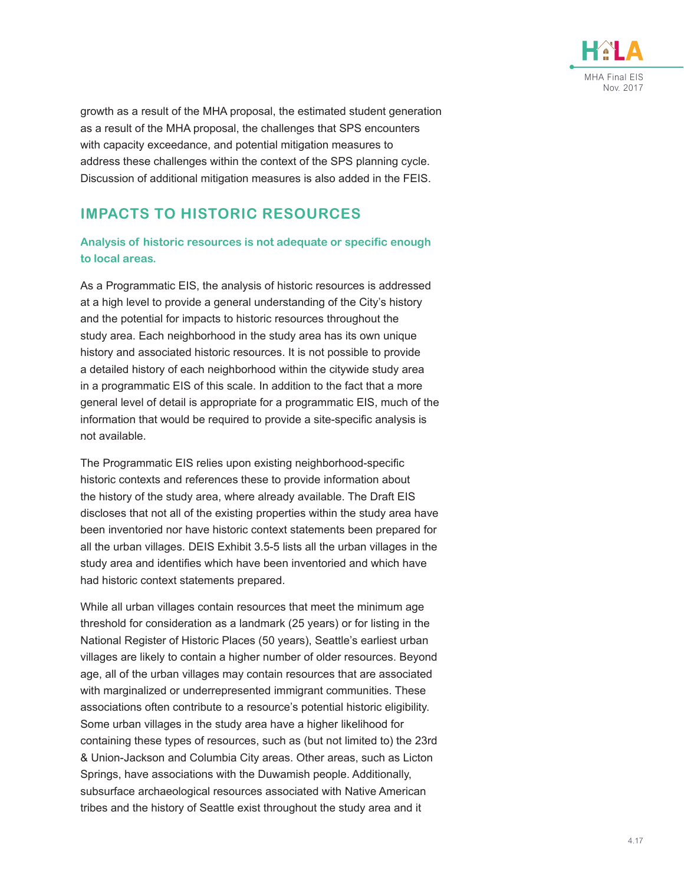

growth as a result of the MHA proposal, the estimated student generation as a result of the MHA proposal, the challenges that SPS encounters with capacity exceedance, and potential mitigation measures to address these challenges within the context of the SPS planning cycle. Discussion of additional mitigation measures is also added in the FEIS.

# **IMPACTS TO HISTORIC RESOURCES**

#### **Analysis of historic resources is not adequate or specific enough to local areas.**

As a Programmatic EIS, the analysis of historic resources is addressed at a high level to provide a general understanding of the City's history and the potential for impacts to historic resources throughout the study area. Each neighborhood in the study area has its own unique history and associated historic resources. It is not possible to provide a detailed history of each neighborhood within the citywide study area in a programmatic EIS of this scale. In addition to the fact that a more general level of detail is appropriate for a programmatic EIS, much of the information that would be required to provide a site-specific analysis is not available.

The Programmatic EIS relies upon existing neighborhood-specific historic contexts and references these to provide information about the history of the study area, where already available. The Draft EIS discloses that not all of the existing properties within the study area have been inventoried nor have historic context statements been prepared for all the urban villages. DEIS Exhibit 3.5-5 lists all the urban villages in the study area and identifies which have been inventoried and which have had historic context statements prepared.

While all urban villages contain resources that meet the minimum age threshold for consideration as a landmark (25 years) or for listing in the National Register of Historic Places (50 years), Seattle's earliest urban villages are likely to contain a higher number of older resources. Beyond age, all of the urban villages may contain resources that are associated with marginalized or underrepresented immigrant communities. These associations often contribute to a resource's potential historic eligibility. Some urban villages in the study area have a higher likelihood for containing these types of resources, such as (but not limited to) the 23rd & Union-Jackson and Columbia City areas. Other areas, such as Licton Springs, have associations with the Duwamish people. Additionally, subsurface archaeological resources associated with Native American tribes and the history of Seattle exist throughout the study area and it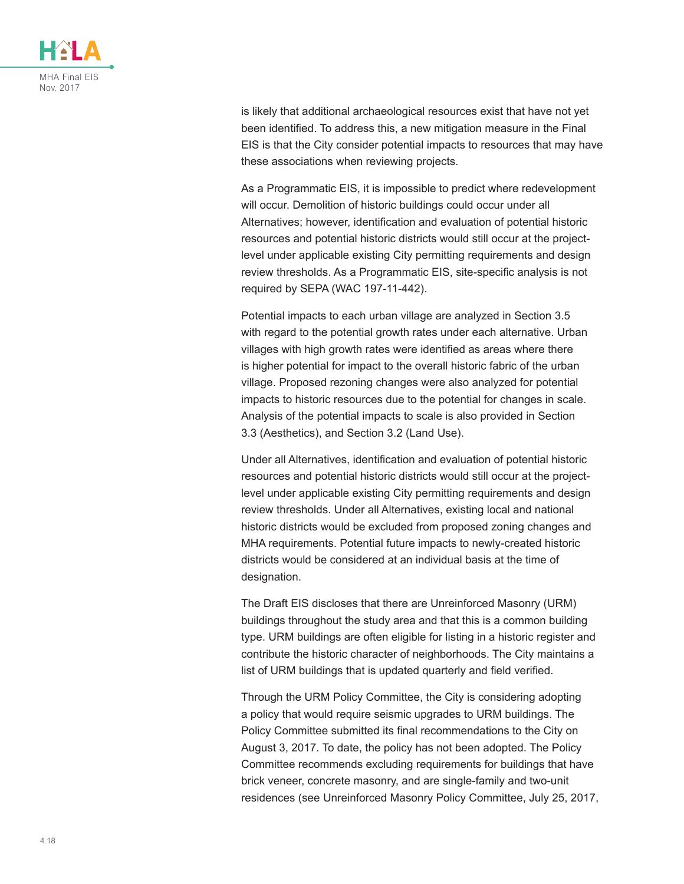

is likely that additional archaeological resources exist that have not yet been identified. To address this, a new mitigation measure in the Final EIS is that the City consider potential impacts to resources that may have these associations when reviewing projects.

As a Programmatic EIS, it is impossible to predict where redevelopment will occur. Demolition of historic buildings could occur under all Alternatives; however, identification and evaluation of potential historic resources and potential historic districts would still occur at the projectlevel under applicable existing City permitting requirements and design review thresholds. As a Programmatic EIS, site-specific analysis is not required by SEPA (WAC 197-11-442).

Potential impacts to each urban village are analyzed in Section 3.5 with regard to the potential growth rates under each alternative. Urban villages with high growth rates were identified as areas where there is higher potential for impact to the overall historic fabric of the urban village. Proposed rezoning changes were also analyzed for potential impacts to historic resources due to the potential for changes in scale. Analysis of the potential impacts to scale is also provided in Section 3.3 (Aesthetics), and Section 3.2 (Land Use).

Under all Alternatives, identification and evaluation of potential historic resources and potential historic districts would still occur at the projectlevel under applicable existing City permitting requirements and design review thresholds. Under all Alternatives, existing local and national historic districts would be excluded from proposed zoning changes and MHA requirements. Potential future impacts to newly-created historic districts would be considered at an individual basis at the time of designation.

The Draft EIS discloses that there are Unreinforced Masonry (URM) buildings throughout the study area and that this is a common building type. URM buildings are often eligible for listing in a historic register and contribute the historic character of neighborhoods. The City maintains a list of URM buildings that is updated quarterly and field verified.

Through the URM Policy Committee, the City is considering adopting a policy that would require seismic upgrades to URM buildings. The Policy Committee submitted its final recommendations to the City on August 3, 2017. To date, the policy has not been adopted. The Policy Committee recommends excluding requirements for buildings that have brick veneer, concrete masonry, and are single-family and two-unit residences (see Unreinforced Masonry Policy Committee, July 25, 2017,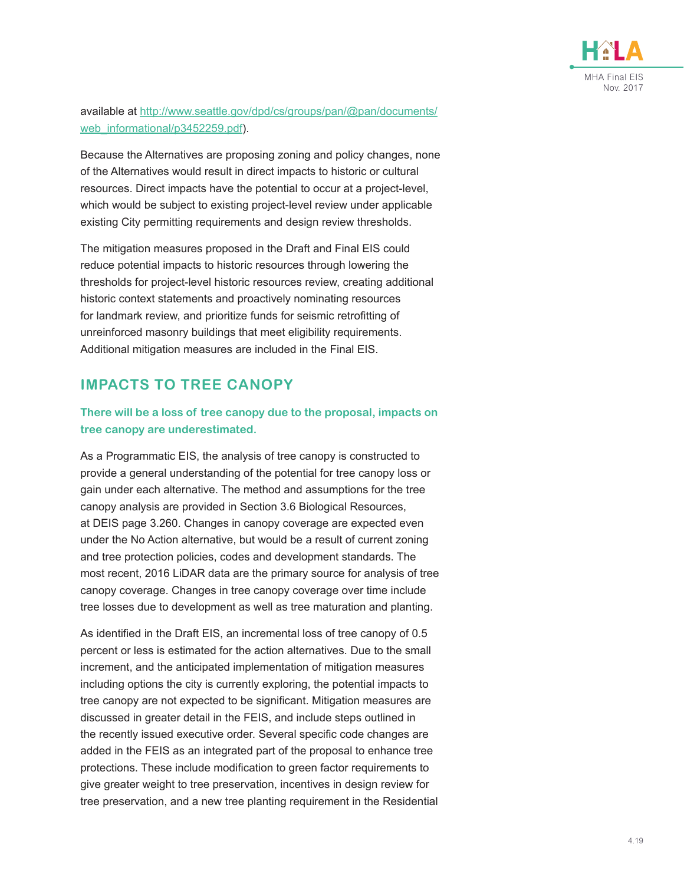

available at [http://www.seattle.gov/dpd/cs/groups/pan/@pan/documents/](http://www.seattle.gov/dpd/cs/groups/pan/@pan/documents/web_informational/p3452259.pdf) [web\\_informational/p3452259.pdf](http://www.seattle.gov/dpd/cs/groups/pan/@pan/documents/web_informational/p3452259.pdf)).

Because the Alternatives are proposing zoning and policy changes, none of the Alternatives would result in direct impacts to historic or cultural resources. Direct impacts have the potential to occur at a project-level, which would be subject to existing project-level review under applicable existing City permitting requirements and design review thresholds.

The mitigation measures proposed in the Draft and Final EIS could reduce potential impacts to historic resources through lowering the thresholds for project-level historic resources review, creating additional historic context statements and proactively nominating resources for landmark review, and prioritize funds for seismic retrofitting of unreinforced masonry buildings that meet eligibility requirements. Additional mitigation measures are included in the Final EIS.

# **IMPACTS TO TREE CANOPY**

#### **There will be a loss of tree canopy due to the proposal, impacts on tree canopy are underestimated.**

As a Programmatic EIS, the analysis of tree canopy is constructed to provide a general understanding of the potential for tree canopy loss or gain under each alternative. The method and assumptions for the tree canopy analysis are provided in Section 3.6 Biological Resources, at DEIS page 3.260. Changes in canopy coverage are expected even under the No Action alternative, but would be a result of current zoning and tree protection policies, codes and development standards. The most recent, 2016 LiDAR data are the primary source for analysis of tree canopy coverage. Changes in tree canopy coverage over time include tree losses due to development as well as tree maturation and planting.

As identified in the Draft EIS, an incremental loss of tree canopy of 0.5 percent or less is estimated for the action alternatives. Due to the small increment, and the anticipated implementation of mitigation measures including options the city is currently exploring, the potential impacts to tree canopy are not expected to be significant. Mitigation measures are discussed in greater detail in the FEIS, and include steps outlined in the recently issued executive order. Several specific code changes are added in the FEIS as an integrated part of the proposal to enhance tree protections. These include modification to green factor requirements to give greater weight to tree preservation, incentives in design review for tree preservation, and a new tree planting requirement in the Residential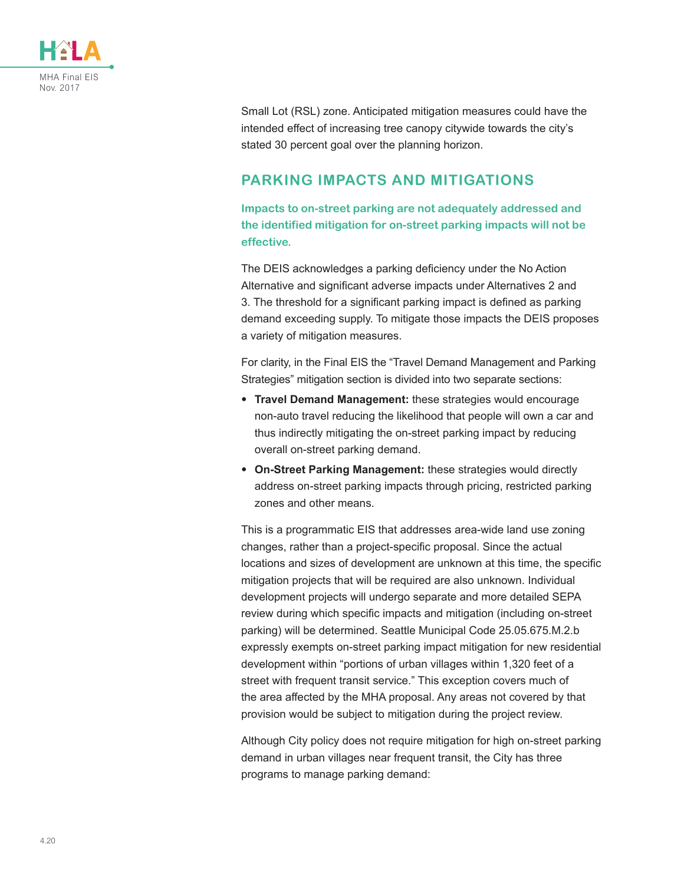

Small Lot (RSL) zone. Anticipated mitigation measures could have the intended effect of increasing tree canopy citywide towards the city's stated 30 percent goal over the planning horizon.

#### **PARKING IMPACTS AND MITIGATIONS**

**Impacts to on-street parking are not adequately addressed and the identified mitigation for on-street parking impacts will not be effective.**

The DEIS acknowledges a parking deficiency under the No Action Alternative and significant adverse impacts under Alternatives 2 and 3. The threshold for a significant parking impact is defined as parking demand exceeding supply. To mitigate those impacts the DEIS proposes a variety of mitigation measures.

For clarity, in the Final EIS the "Travel Demand Management and Parking Strategies" mitigation section is divided into two separate sections:

- **Travel Demand Management:** these strategies would encourage non-auto travel reducing the likelihood that people will own a car and thus indirectly mitigating the on-street parking impact by reducing overall on-street parking demand.
- **On-Street Parking Management:** these strategies would directly address on-street parking impacts through pricing, restricted parking zones and other means.

This is a programmatic EIS that addresses area-wide land use zoning changes, rather than a project-specific proposal. Since the actual locations and sizes of development are unknown at this time, the specific mitigation projects that will be required are also unknown. Individual development projects will undergo separate and more detailed SEPA review during which specific impacts and mitigation (including on-street parking) will be determined. Seattle Municipal Code 25.05.675.M.2.b expressly exempts on-street parking impact mitigation for new residential development within "portions of urban villages within 1,320 feet of a street with frequent transit service." This exception covers much of the area affected by the MHA proposal. Any areas not covered by that provision would be subject to mitigation during the project review.

Although City policy does not require mitigation for high on-street parking demand in urban villages near frequent transit, the City has three programs to manage parking demand: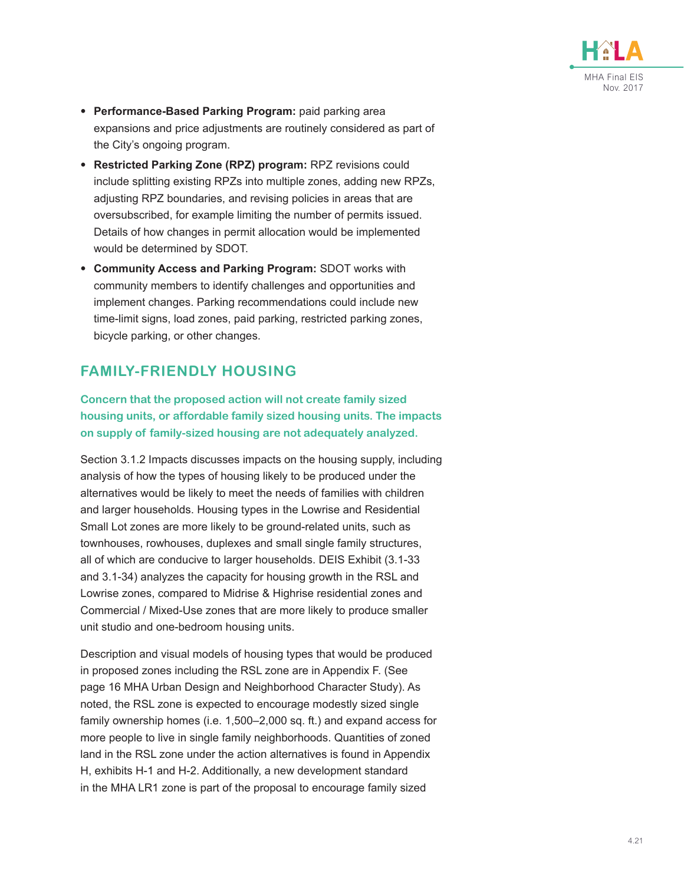

- **Performance-Based Parking Program:** paid parking area expansions and price adjustments are routinely considered as part of the City's ongoing program.
- **Restricted Parking Zone (RPZ) program:** RPZ revisions could include splitting existing RPZs into multiple zones, adding new RPZs, adjusting RPZ boundaries, and revising policies in areas that are oversubscribed, for example limiting the number of permits issued. Details of how changes in permit allocation would be implemented would be determined by SDOT.
- **Community Access and Parking Program:** SDOT works with community members to identify challenges and opportunities and implement changes. Parking recommendations could include new time-limit signs, load zones, paid parking, restricted parking zones, bicycle parking, or other changes.

# **FAMILY-FRIENDLY HOUSING**

#### **Concern that the proposed action will not create family sized housing units, or affordable family sized housing units. The impacts on supply of family-sized housing are not adequately analyzed.**

Section 3.1.2 Impacts discusses impacts on the housing supply, including analysis of how the types of housing likely to be produced under the alternatives would be likely to meet the needs of families with children and larger households. Housing types in the Lowrise and Residential Small Lot zones are more likely to be ground-related units, such as townhouses, rowhouses, duplexes and small single family structures, all of which are conducive to larger households. DEIS Exhibit (3.1-33 and 3.1-34) analyzes the capacity for housing growth in the RSL and Lowrise zones, compared to Midrise & Highrise residential zones and Commercial / Mixed-Use zones that are more likely to produce smaller unit studio and one-bedroom housing units.

Description and visual models of housing types that would be produced in proposed zones including the RSL zone are in Appendix F. (See page 16 MHA Urban Design and Neighborhood Character Study). As noted, the RSL zone is expected to encourage modestly sized single family ownership homes (i.e. 1,500–2,000 sq. ft.) and expand access for more people to live in single family neighborhoods. Quantities of zoned land in the RSL zone under the action alternatives is found in Appendix H, exhibits H-1 and H-2. Additionally, a new development standard in the MHA LR1 zone is part of the proposal to encourage family sized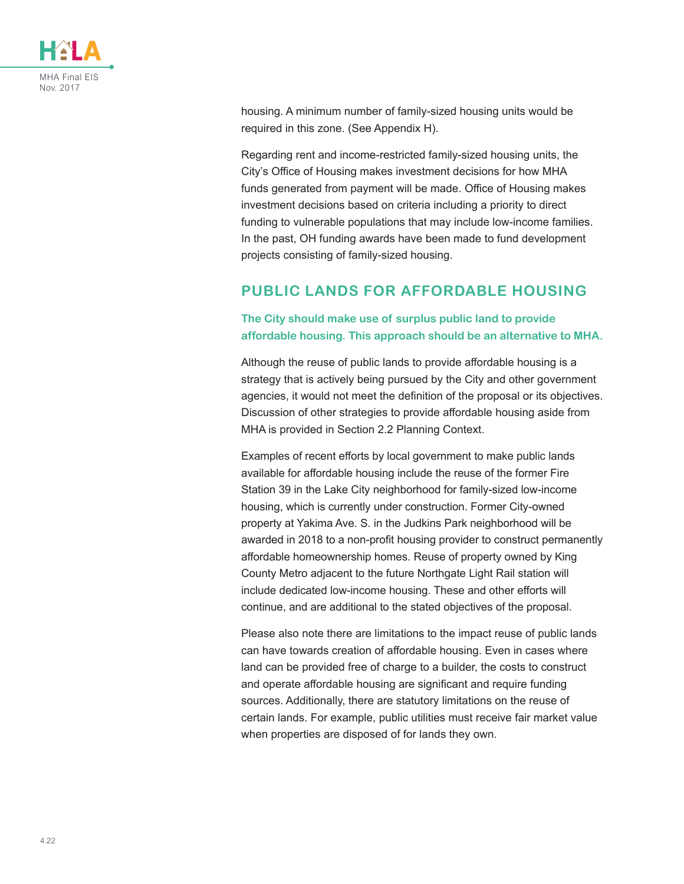

housing. A minimum number of family-sized housing units would be required in this zone. (See Appendix H).

Regarding rent and income-restricted family-sized housing units, the City's Office of Housing makes investment decisions for how MHA funds generated from payment will be made. Office of Housing makes investment decisions based on criteria including a priority to direct funding to vulnerable populations that may include low-income families. In the past, OH funding awards have been made to fund development projects consisting of family-sized housing.

# **PUBLIC LANDS FOR AFFORDABLE HOUSING**

#### **The City should make use of surplus public land to provide affordable housing. This approach should be an alternative to MHA.**

Although the reuse of public lands to provide affordable housing is a strategy that is actively being pursued by the City and other government agencies, it would not meet the definition of the proposal or its objectives. Discussion of other strategies to provide affordable housing aside from MHA is provided in Section 2.2 Planning Context.

Examples of recent efforts by local government to make public lands available for affordable housing include the reuse of the former Fire Station 39 in the Lake City neighborhood for family-sized low-income housing, which is currently under construction. Former City-owned property at Yakima Ave. S. in the Judkins Park neighborhood will be awarded in 2018 to a non-profit housing provider to construct permanently affordable homeownership homes. Reuse of property owned by King County Metro adjacent to the future Northgate Light Rail station will include dedicated low-income housing. These and other efforts will continue, and are additional to the stated objectives of the proposal.

Please also note there are limitations to the impact reuse of public lands can have towards creation of affordable housing. Even in cases where land can be provided free of charge to a builder, the costs to construct and operate affordable housing are significant and require funding sources. Additionally, there are statutory limitations on the reuse of certain lands. For example, public utilities must receive fair market value when properties are disposed of for lands they own.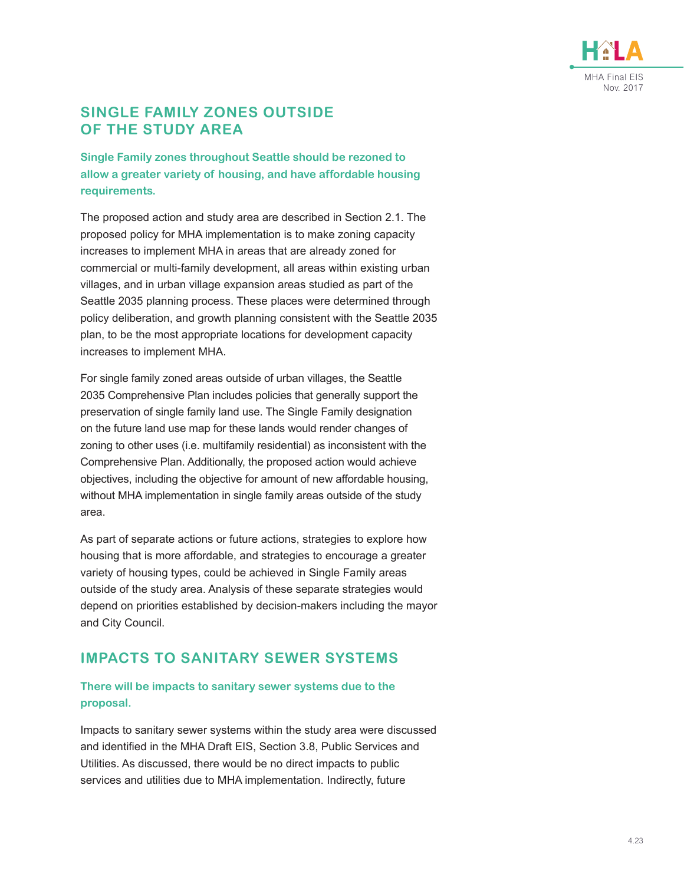

### **SINGLE FAMILY ZONES OUTSIDE OF THE STUDY AREA**

**Single Family zones throughout Seattle should be rezoned to allow a greater variety of housing, and have affordable housing requirements.**

The proposed action and study area are described in Section 2.1. The proposed policy for MHA implementation is to make zoning capacity increases to implement MHA in areas that are already zoned for commercial or multi-family development, all areas within existing urban villages, and in urban village expansion areas studied as part of the Seattle 2035 planning process. These places were determined through policy deliberation, and growth planning consistent with the Seattle 2035 plan, to be the most appropriate locations for development capacity increases to implement MHA.

For single family zoned areas outside of urban villages, the Seattle 2035 Comprehensive Plan includes policies that generally support the preservation of single family land use. The Single Family designation on the future land use map for these lands would render changes of zoning to other uses (i.e. multifamily residential) as inconsistent with the Comprehensive Plan. Additionally, the proposed action would achieve objectives, including the objective for amount of new affordable housing, without MHA implementation in single family areas outside of the study area.

As part of separate actions or future actions, strategies to explore how housing that is more affordable, and strategies to encourage a greater variety of housing types, could be achieved in Single Family areas outside of the study area. Analysis of these separate strategies would depend on priorities established by decision-makers including the mayor and City Council.

# **IMPACTS TO SANITARY SEWER SYSTEMS**

#### **There will be impacts to sanitary sewer systems due to the proposal.**

Impacts to sanitary sewer systems within the study area were discussed and identified in the MHA Draft EIS, Section 3.8, Public Services and Utilities. As discussed, there would be no direct impacts to public services and utilities due to MHA implementation. Indirectly, future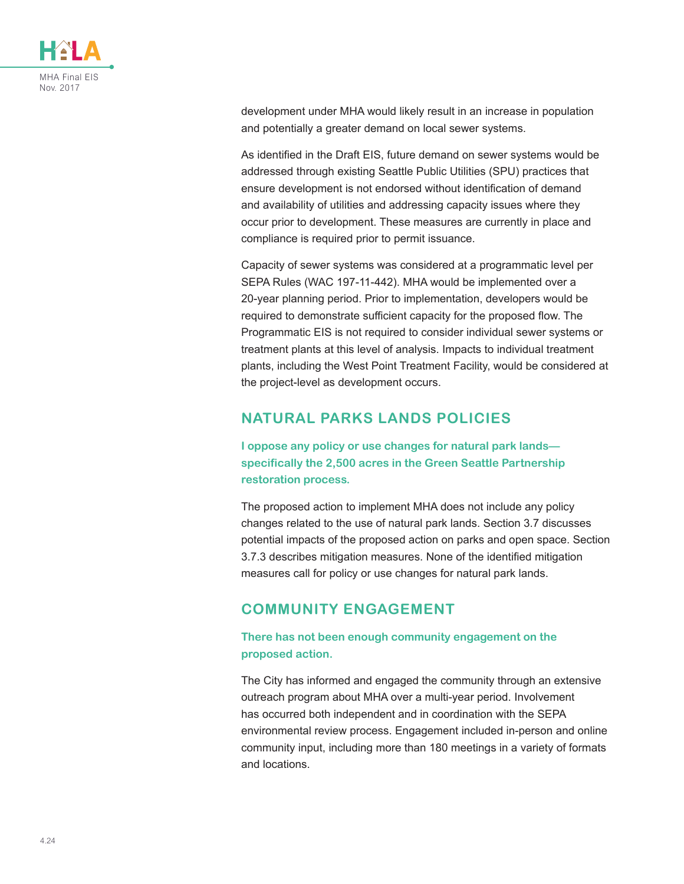

development under MHA would likely result in an increase in population and potentially a greater demand on local sewer systems.

As identified in the Draft EIS, future demand on sewer systems would be addressed through existing Seattle Public Utilities (SPU) practices that ensure development is not endorsed without identification of demand and availability of utilities and addressing capacity issues where they occur prior to development. These measures are currently in place and compliance is required prior to permit issuance.

Capacity of sewer systems was considered at a programmatic level per SEPA Rules (WAC 197-11-442). MHA would be implemented over a 20-year planning period. Prior to implementation, developers would be required to demonstrate sufficient capacity for the proposed flow. The Programmatic EIS is not required to consider individual sewer systems or treatment plants at this level of analysis. Impacts to individual treatment plants, including the West Point Treatment Facility, would be considered at the project-level as development occurs.

### **NATURAL PARKS LANDS POLICIES**

**I oppose any policy or use changes for natural park lands specifically the 2,500 acres in the Green Seattle Partnership restoration process.**

The proposed action to implement MHA does not include any policy changes related to the use of natural park lands. Section 3.7 discusses potential impacts of the proposed action on parks and open space. Section 3.7.3 describes mitigation measures. None of the identified mitigation measures call for policy or use changes for natural park lands.

# **COMMUNITY ENGAGEMENT**

#### **There has not been enough community engagement on the proposed action.**

The City has informed and engaged the community through an extensive outreach program about MHA over a multi-year period. Involvement has occurred both independent and in coordination with the SEPA environmental review process. Engagement included in-person and online community input, including more than 180 meetings in a variety of formats and locations.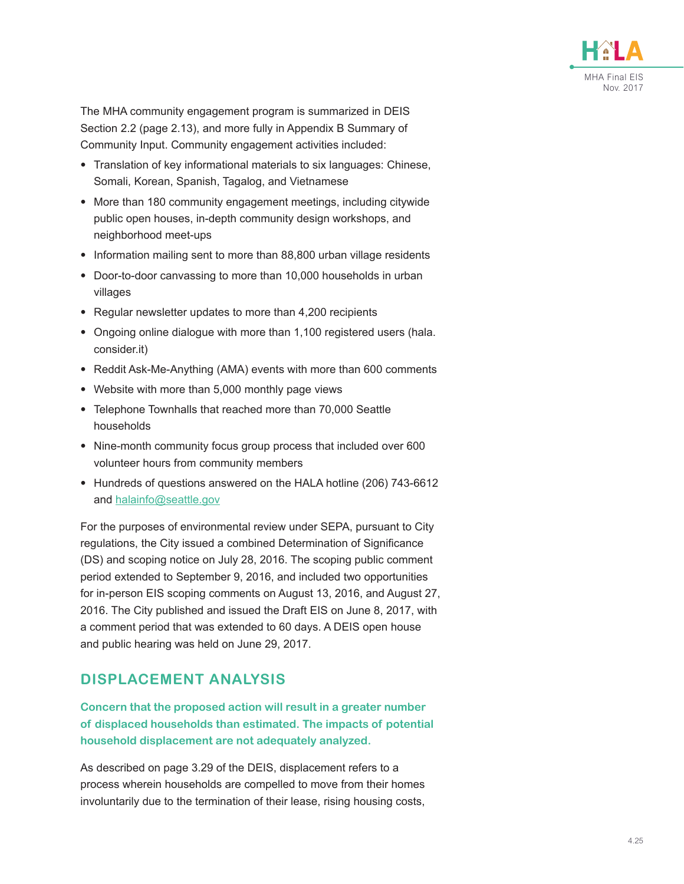

The MHA community engagement program is summarized in DEIS Section 2.2 (page 2.13), and more fully in Appendix B Summary of Community Input. Community engagement activities included:

- Translation of key informational materials to six languages: Chinese, Somali, Korean, Spanish, Tagalog, and Vietnamese
- More than 180 community engagement meetings, including citywide public open houses, in-depth community design workshops, and neighborhood meet-ups
- Information mailing sent to more than 88,800 urban village residents
- Door-to-door canvassing to more than 10,000 households in urban villages
- Regular newsletter updates to more than 4,200 recipients
- Ongoing online dialogue with more than 1,100 registered users (hala. consider.it)
- Reddit Ask-Me-Anything (AMA) events with more than 600 comments
- Website with more than 5,000 monthly page views
- Telephone Townhalls that reached more than 70,000 Seattle households
- Nine-month community focus group process that included over 600 volunteer hours from community members
- Hundreds of questions answered on the HALA hotline (206) 743-6612 and [halainfo@seattle.gov](mailto:halainfo%40seattle.gov?subject=)

For the purposes of environmental review under SEPA, pursuant to City regulations, the City issued a combined Determination of Significance (DS) and scoping notice on July 28, 2016. The scoping public comment period extended to September 9, 2016, and included two opportunities for in-person EIS scoping comments on August 13, 2016, and August 27, 2016. The City published and issued the Draft EIS on June 8, 2017, with a comment period that was extended to 60 days. A DEIS open house and public hearing was held on June 29, 2017.

#### **DISPLACEMENT ANALYSIS**

**Concern that the proposed action will result in a greater number of displaced households than estimated. The impacts of potential household displacement are not adequately analyzed.**

As described on page 3.29 of the DEIS, displacement refers to a process wherein households are compelled to move from their homes involuntarily due to the termination of their lease, rising housing costs,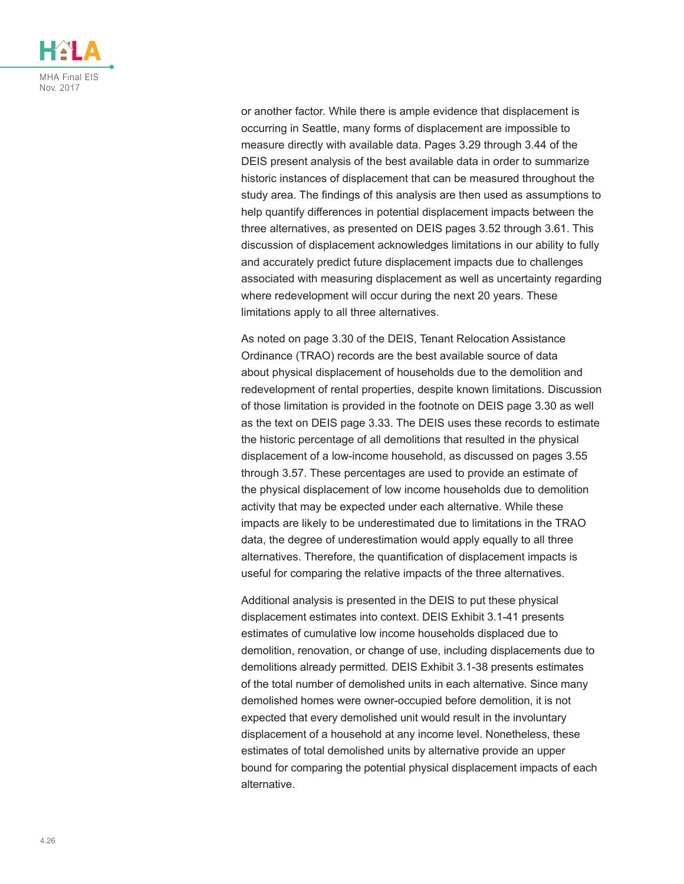

or another factor. While there is ample evidence that displacement is occurring in Seattle, many forms of displacement are impossible to measure directly with available data. Pages 3.29 through 3.44 of the DEIS present analysis of the best available data in order to summarize historic instances of displacement that can be measured throughout the study area. The findings of this analysis are then used as assumptions to help quantify differences in potential displacement impacts between the three alternatives, as presented on DEIS pages 3.52 through 3.61. This discussion of displacement acknowledges limitations in our ability to fully and accurately predict future displacement impacts due to challenges associated with measuring displacement as well as uncertainty regarding where redevelopment will occur during the next 20 years. These limitations apply to all three alternatives.

As noted on page 3.30 of the DEIS, Tenant Relocation Assistance Ordinance (TRAO) records are the best available source of data about physical displacement of households due to the demolition and redevelopment of rental properties, despite known limitations. Discussion of those limitation is provided in the footnote on DEIS page 3.30 as well as the text on DEIS page 3.33. The DEIS uses these records to estimate the historic percentage of all demolitions that resulted in the physical displacement of a low-income household, as discussed on pages 3.55 through 3.57. These percentages are used to provide an estimate of the physical displacement of low income households due to demolition activity that may be expected under each alternative. While these impacts are likely to be underestimated due to limitations in the TRAO data, the degree of underestimation would apply equally to all three alternatives. Therefore, the quantification of displacement impacts is useful for comparing the relative impacts of the three alternatives.

Additional analysis is presented in the DEIS to put these physical displacement estimates into context. DEIS Exhibit 3.1-41 presents estimates of cumulative low income households displaced due to demolition, renovation, or change of use, including displacements due to demolitions already permitted. DEIS Exhibit 3.1-38 presents estimates of the total number of demolished units in each alternative. Since many demolished homes were owner-occupied before demolition, it is not expected that every demolished unit would result in the involuntary displacement of a household at any income level. Nonetheless, these estimates of total demolished units by alternative provide an upper bound for comparing the potential physical displacement impacts of each alternative.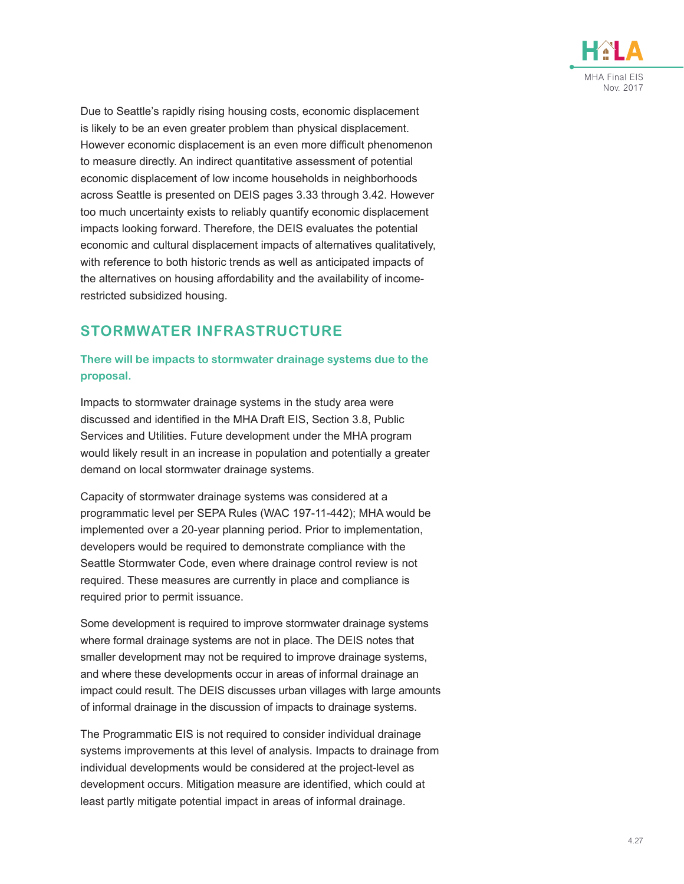

Due to Seattle's rapidly rising housing costs, economic displacement is likely to be an even greater problem than physical displacement. However economic displacement is an even more difficult phenomenon to measure directly. An indirect quantitative assessment of potential economic displacement of low income households in neighborhoods across Seattle is presented on DEIS pages 3.33 through 3.42. However too much uncertainty exists to reliably quantify economic displacement impacts looking forward. Therefore, the DEIS evaluates the potential economic and cultural displacement impacts of alternatives qualitatively, with reference to both historic trends as well as anticipated impacts of the alternatives on housing affordability and the availability of incomerestricted subsidized housing.

# **STORMWATER INFRASTRUCTURE**

#### **There will be impacts to stormwater drainage systems due to the proposal.**

Impacts to stormwater drainage systems in the study area were discussed and identified in the MHA Draft EIS, Section 3.8, Public Services and Utilities. Future development under the MHA program would likely result in an increase in population and potentially a greater demand on local stormwater drainage systems.

Capacity of stormwater drainage systems was considered at a programmatic level per SEPA Rules (WAC 197-11-442); MHA would be implemented over a 20-year planning period. Prior to implementation, developers would be required to demonstrate compliance with the Seattle Stormwater Code, even where drainage control review is not required. These measures are currently in place and compliance is required prior to permit issuance.

Some development is required to improve stormwater drainage systems where formal drainage systems are not in place. The DEIS notes that smaller development may not be required to improve drainage systems, and where these developments occur in areas of informal drainage an impact could result. The DEIS discusses urban villages with large amounts of informal drainage in the discussion of impacts to drainage systems.

The Programmatic EIS is not required to consider individual drainage systems improvements at this level of analysis. Impacts to drainage from individual developments would be considered at the project-level as development occurs. Mitigation measure are identified, which could at least partly mitigate potential impact in areas of informal drainage.